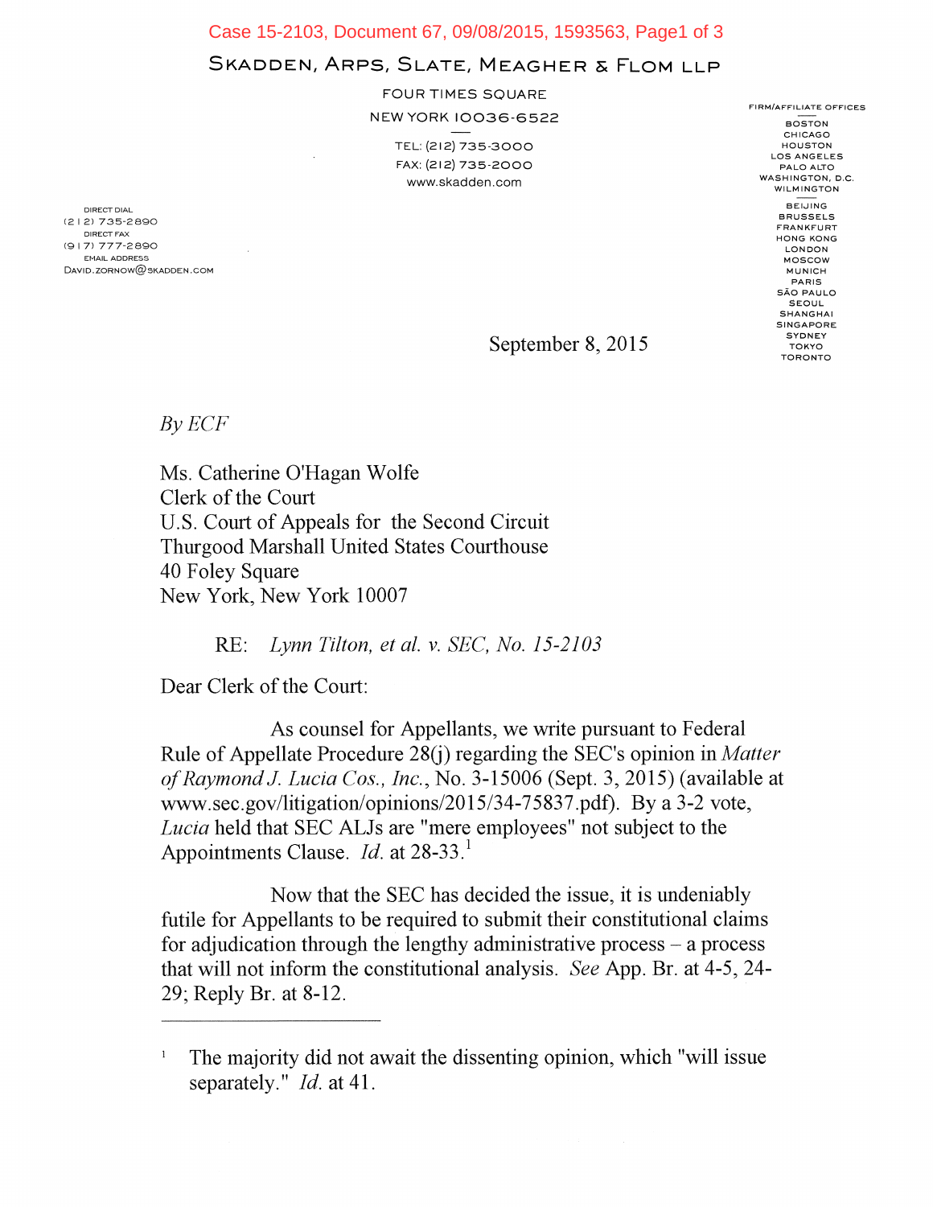Case 15-2103, Document 67, 09/08/2015, 1593563, Page1 of 3

## SKADDEN, ARPS, SLATE, MEAGHER & FLOM LLP

FOUR TIMES SQUARE

NEW YORK 10036-6522

TEL: (212) 735-3000 FAX: (212) 735-2000 www.skadden.com

DIRECT DIAL (212) 735-2890 DIRECT FAX (9I 7) 777-2890 EMAIL ADDRESS  $DAVID.ZORNOWLEDW@SKADDEN. COM$  FIRM/AFFILIATE OFFICES **BOSTON** CHICAGO HOUSTON LOS ANGELES PALO ALTO WASHINGTON, D.C. WILMINGTON BEIJING BRUSSELS FRANKFURT HONG KONG LONDON MOSCOW MUNICH PARIS SAO PAULO SEOUL SHANGHAI SINGAPORE **SYDNEY** TOKYO TORONTO

September 8, 2015

*By ECF* 

Ms. Catherine O'Hagan Wolfe Clerk of the Court U.S. Court of Appeals for the Second Circuit Thurgood Marshall United States Courthouse 40 Foley Square New York, New York 10007

RE: *Lynn Tilton, et al. v. SEC, No. 15-2103* 

Dear Clerk of the Court:

As counsel for Appellants, we write pursuant to Federal Rule of Appellate Procedure 28(j) regarding the SEC's opinion in *Matter of Raymond J. Lucia Cos., Inc.,* No. 3-15006 (Sept. 3, 2015) (available at www.sec.gov/litigation/opinions/2015/34-75837.pdf). By a 3-2 vote, *Lucia* held that SEC ALJs are "mere employees" not subject to the Appointments Clause. *Id.* at 28-33.<sup>1</sup>

Now that the SEC has decided the issue, it is undeniably futile for Appellants to be required to submit their constitutional claims for adjudication through the lengthy administrative process — a process that will not inform the constitutional analysis. *See* App. Br. at 4-5, 24- 29; Reply Br. at 8-12.

<sup>1</sup> The majority did not await the dissenting opinion, which "will issue separately." *Id.* at 41.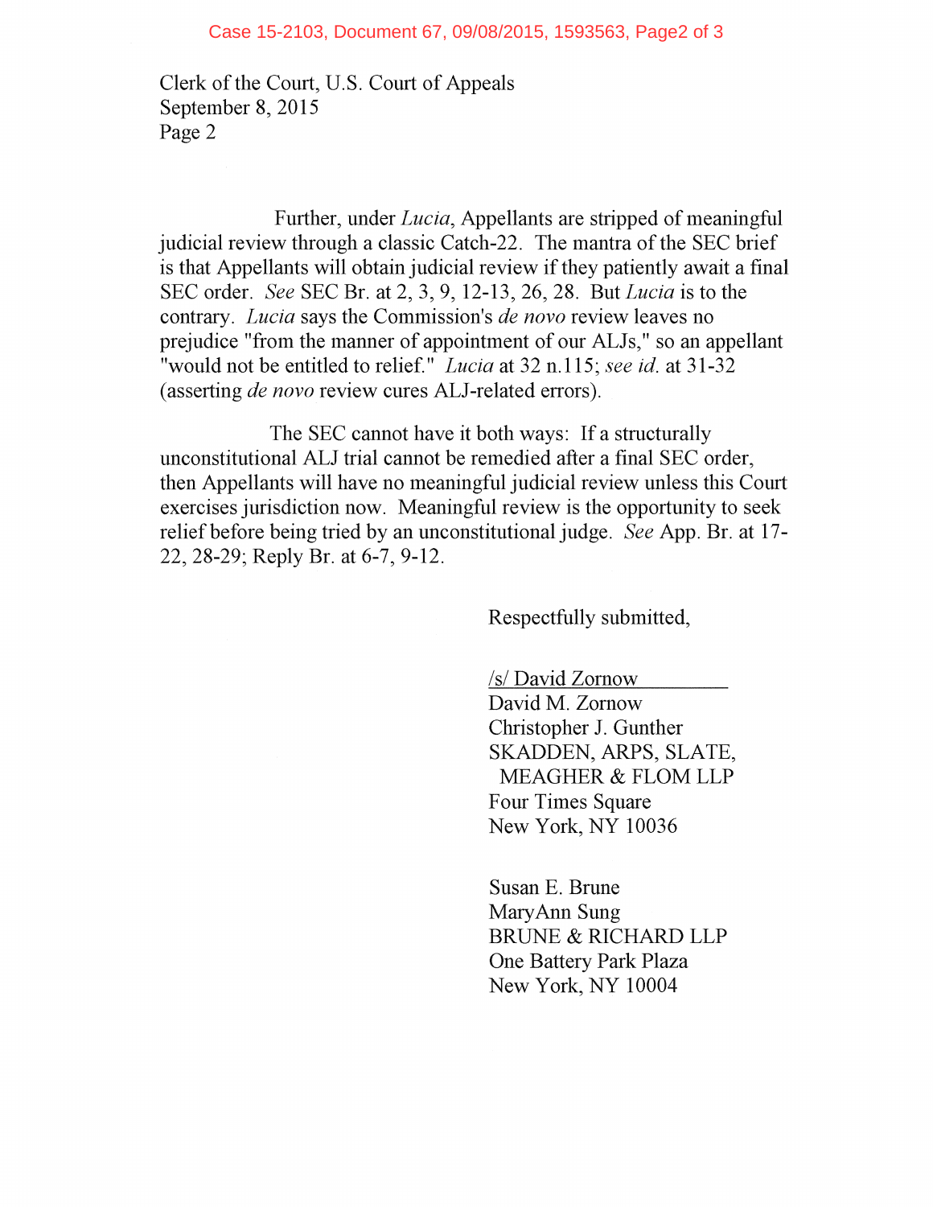Clerk of the Court, U.S. Court of Appeals September 8, 2015 Page 2

Further, under *Lucia,* Appellants are stripped of meaningful judicial review through a classic Catch-22. The mantra of the SEC brief is that Appellants will obtain judicial review if they patiently await a final SEC order. *See* SEC Br. at 2, 3, 9, 12-13, 26, 28. But *Lucia* is to the contrary. *Lucia* says the Commission's *de novo* review leaves no prejudice "from the manner of appointment of our ALJs," so an appellant "would not be entitled to relief." *Lucia* at 32 n.115; *see id.* at 31-32 (asserting *de novo* review cures ALJ-related errors).

The SEC cannot have it both ways: If a structurally unconstitutional ALJ trial cannot be remedied after a final SEC order, then Appellants will have no meaningful judicial review unless this Court exercises jurisdiction now. Meaningful review is the opportunity to seek relief before being tried by an unconstitutional judge. *See* App. Br. at 17- 22, 28-29; Reply Br. at 6-7, 9-12.

Respectfully submitted,

/s/ David Zornow

David M. Zornow Christopher J. Gunther SKADDEN, ARPS, SLATE, MEAGHER & FLOM LLP Four Times Square New York, NY 10036

Susan E. Brune MaryAnn Sung BRUNE & RICHARD LLP One Battery Park Plaza New York, NY 10004